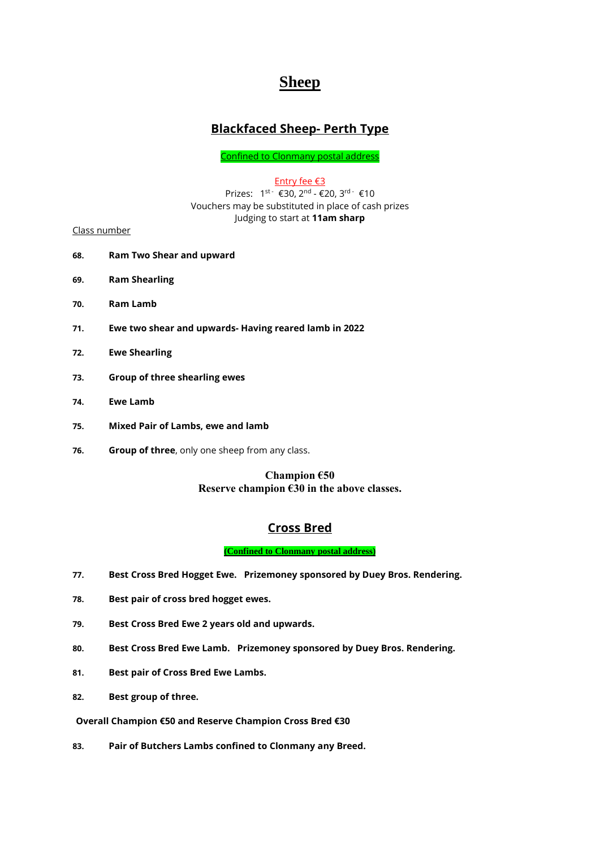# **Sheep**

# **Blackfaced Sheep- Perth Type**

Confined to Clonmany postal address

Entry fee €3

Prizes: 1<sup>st -</sup> €30, 2<sup>nd</sup> - €20, 3<sup>rd -</sup> €10 Vouchers may be substituted in place of cash prizes Judging to start at **11am sharp**

Class number

- **68. Ram Two Shear and upward**
- **69. Ram Shearling**
- **70. Ram Lamb**
- **71. Ewe two shear and upwards- Having reared lamb in 2022**
- **72. Ewe Shearling**
- **73. Group of three shearling ewes**
- **74. Ewe Lamb**
- **75. Mixed Pair of Lambs, ewe and lamb**
- **76. Group of three**, only one sheep from any class.

#### **Champion €50 Reserve champion €30 in the above classes.**

## **Cross Bred**

**(Confined to Clonmany postal address)**

- **77. Best Cross Bred Hogget Ewe. Prizemoney sponsored by Duey Bros. Rendering.**
- **78. Best pair of cross bred hogget ewes.**
- **79. Best Cross Bred Ewe 2 years old and upwards.**
- **80. Best Cross Bred Ewe Lamb. Prizemoney sponsored by Duey Bros. Rendering.**
- **81. Best pair of Cross Bred Ewe Lambs.**
- **82. Best group of three.**

**Overall Champion €50 and Reserve Champion Cross Bred €30**

**83. Pair of Butchers Lambs confined to Clonmany any Breed.**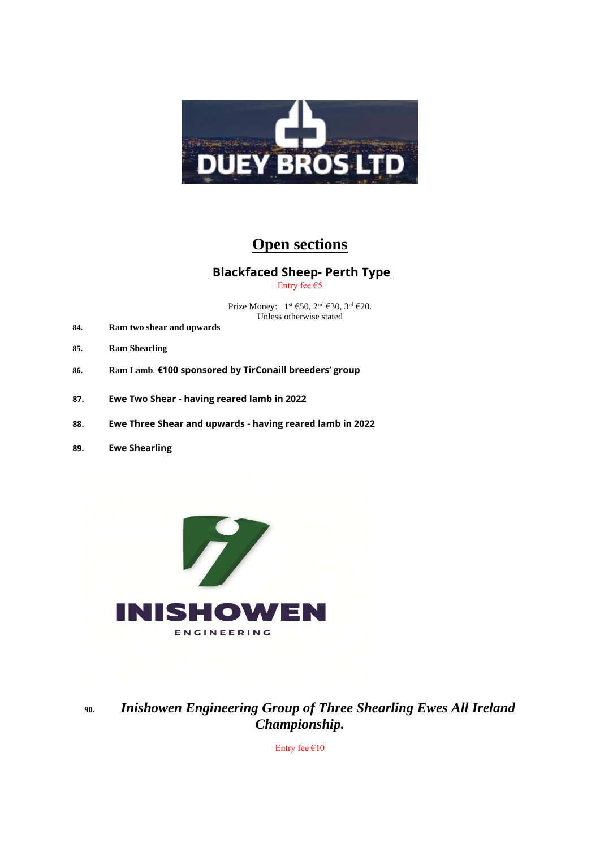

# **Open sections**

# **Blackfaced Sheep- Perth Type**

Entry fee €5

Prize Money:  $1^{st}$  €50,  $2^{nd}$  €30,  $3^{rd}$  €20. Unless otherwise stated

- **84. Ram two shear and upwards**
- **85. Ram Shearling**
- **86. Ram Lamb**. **€100 sponsored by TirConaill breeders' group**
- **87. Ewe Two Shear - having reared lamb in 2022**
- **88. Ewe Three Shear and upwards - having reared lamb in 2022**
- **89. Ewe Shearling**



**90.** *Inishowen Engineering Group of Three Shearling Ewes All Ireland Championship.*

Entry fee  $€10$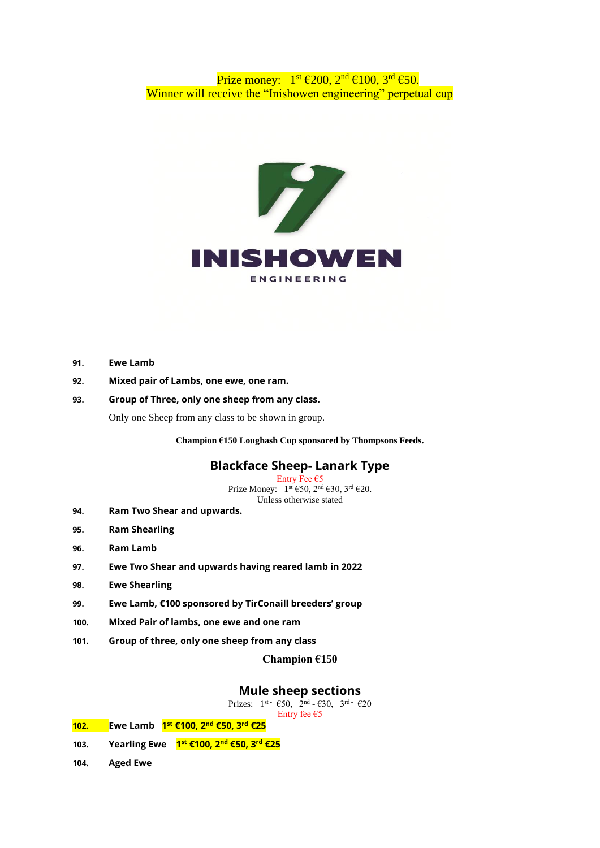#### Prize money:  $1^{st} \in 200$ ,  $2^{nd} \in 100$ ,  $3^{rd} \in 50$ . Winner will receive the "Inishowen engineering" perpetual cup



- **91. Ewe Lamb**
- **92. Mixed pair of Lambs, one ewe, one ram.**
- **93. Group of Three, only one sheep from any class.**

Only one Sheep from any class to be shown in group.

**Champion €150 Loughash Cup sponsored by Thompsons Feeds.**

#### **Blackface Sheep- Lanark Type**

Entry Fee  $\epsilon$ 5 Prize Money:  $1^{st} \text{ } \in 50, 2^{nd} \text{ } \in 30, 3^{rd} \text{ } \in 20.$ Unless otherwise stated

- **94. Ram Two Shear and upwards.**
- **95. Ram Shearling**
- **96. Ram Lamb**
- **97. Ewe Two Shear and upwards having reared lamb in 2022**
- **98. Ewe Shearling**
- **99. Ewe Lamb, €100 sponsored by TirConaill breeders' group**
- **100. Mixed Pair of lambs, one ewe and one ram**
- **101. Group of three, only one sheep from any class**

**Champion €150**

#### **Mule sheep sections**

Prizes:  $1^{st}$   $\in$  50,  $2^{nd}$   $\in$   $\in$  30,  $3^{rd}$   $\in$   $\in$  20

|  |  |  | Entry fee $\epsilon$ 5 |  |
|--|--|--|------------------------|--|
|  |  |  |                        |  |

- **102. Ewe Lamb 1 st €100, 2nd €50, 3rd €25**
- **103. Yearling Ewe 1 st €100, 2nd €50, 3 rd €25**
- **104. Aged Ewe**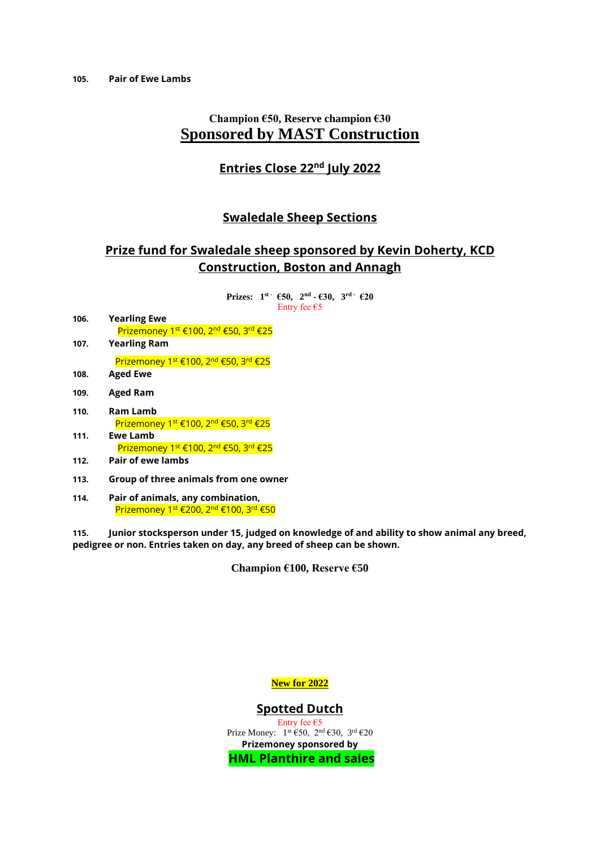# **Champion €50, Reserve champion €30 Sponsored by MAST Construction**

#### **Entries Close 22nd July 2022**

#### **Swaledale Sheep Sections**

## **Prize fund for Swaledale sheep sponsored by Kevin Doherty, KCD Construction, Boston and Annagh**

**Prizes:**  $1^{st}$   $\cdot$   $650$ ,  $2^{nd}$   $\cdot$   $630$ ,  $3^{rd}$   $\cdot$   $620$ Entry fee  $\epsilon$ 5

- **106. Yearling Ewe** Prizemoney 1<sup>st</sup> €100, 2<sup>nd</sup> €50, 3<sup>rd</sup> €25
- **107. Yearling Ram**

Prizemoney 1<sup>st</sup> €100, 2<sup>nd</sup> €50, 3<sup>rd</sup> €25

- **108. Aged Ewe**
- **109. Aged Ram**
- **110. Ram Lamb** Prizemoney 1<sup>st</sup> €100, 2<sup>nd</sup> €50, 3<sup>rd</sup> €25 **111. Ewe Lamb**
	- Prizemoney 1<sup>st</sup> €100, 2<sup>nd</sup> €50, 3<sup>rd</sup> €25
- **112. Pair of ewe lambs**
- **113. Group of three animals from one owner**
- **114. Pair of animals, any combination,**  Prizemoney 1<sup>st</sup> €200, 2<sup>nd</sup> €100, 3<sup>rd</sup> €50

**115. Junior stocksperson under 15, judged on knowledge of and ability to show animal any breed, pedigree or non. Entries taken on day, any breed of sheep can be shown.**

**Champion €100, Reserve €50**

**New for 2022**

#### **Spotted Dutch**

Entry fee  $\epsilon$ 5 Prize Money:  $1^{st}$  €50,  $2^{nd}$  €30,  $3^{rd}$  €20 **Prizemoney sponsored by HML Planthire and sales**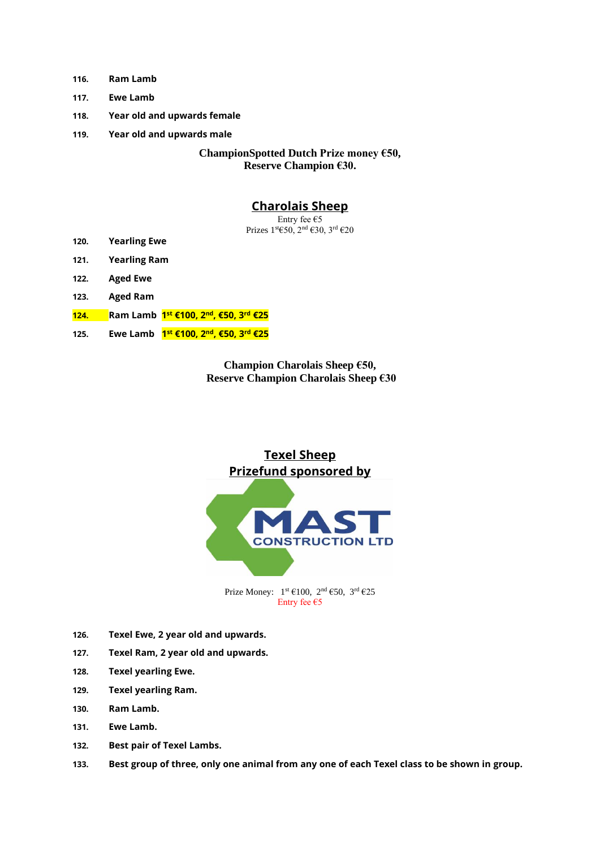- **116. Ram Lamb**
- **117. Ewe Lamb**
- **118. Year old and upwards female**
- **119. Year old and upwards male**

**ChampionSpotted Dutch Prize money €50, Reserve Champion €30.**

#### **Charolais Sheep**

Entry fee €5 Prizes 1st€50, 2nd €30, 3rd €20

- **120. Yearling Ewe**
- **121. Yearling Ram**
- **122. Aged Ewe**
- **123. Aged Ram**
- **124. Ram Lamb 1 st €100, 2nd, €50, 3rd €25**
- **125. Ewe Lamb 1 st €100, 2nd, €50, 3rd €25**

**Champion Charolais Sheep €50, Reserve Champion Charolais Sheep €30** 

# **Texel Sheep Prizefund sponsored by**



Prize Money:  $1^{st} \in 100$ ,  $2^{nd} \in 50$ ,  $3^{rd} \in 25$ Entry fee €5

- **126. Texel Ewe, 2 year old and upwards.**
- **127. Texel Ram, 2 year old and upwards.**
- **128. Texel yearling Ewe.**
- **129. Texel yearling Ram.**
- **130. Ram Lamb.**
- **131. Ewe Lamb.**
- **132. Best pair of Texel Lambs.**
- **133. Best group of three, only one animal from any one of each Texel class to be shown in group.**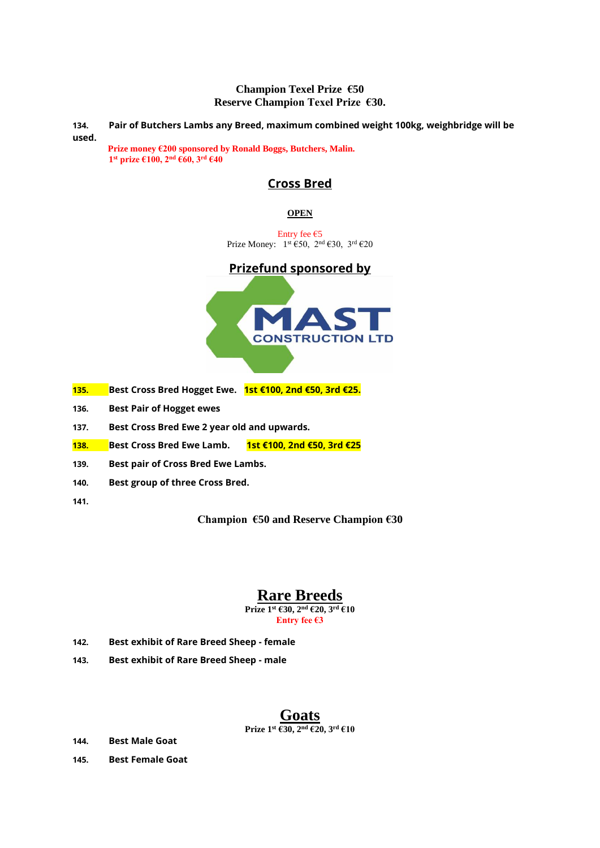#### **Champion Texel Prize €50 Reserve Champion Texel Prize €30.**

**134. Pair of Butchers Lambs any Breed, maximum combined weight 100kg, weighbridge will be used.**

**Prize money €200 sponsored by Ronald Boggs, Butchers, Malin. 1 st prize €100, 2nd €60, 3rd €40**

## **Cross Bred**

#### **OPEN**

Entry fee €5 Prize Money:  $1^{st}$  €50,  $2^{nd}$  €30,  $3^{rd}$  €20

## **Prizefund sponsored by**



- **135. Best Cross Bred Hogget Ewe. 1st €100, 2nd €50, 3rd €25.**
- **136. Best Pair of Hogget ewes**
- **137. Best Cross Bred Ewe 2 year old and upwards.**
- **138. Best Cross Bred Ewe Lamb. 1st €100, 2nd €50, 3rd €25**
- **139. Best pair of Cross Bred Ewe Lambs.**
- **140. Best group of three Cross Bred.**
- **141.**

**Champion €50 and Reserve Champion €30**

## **Rare Breeds Prize 1st €30, 2 nd €20, 3rd €10**

**Entry fee €3**

- **142. Best exhibit of Rare Breed Sheep - female**
- **143. Best exhibit of Rare Breed Sheep - male**

#### **Goats Prize 1st €30, 2nd €20, 3rd €10**

- **144. Best Male Goat**
- **145. Best Female Goat**